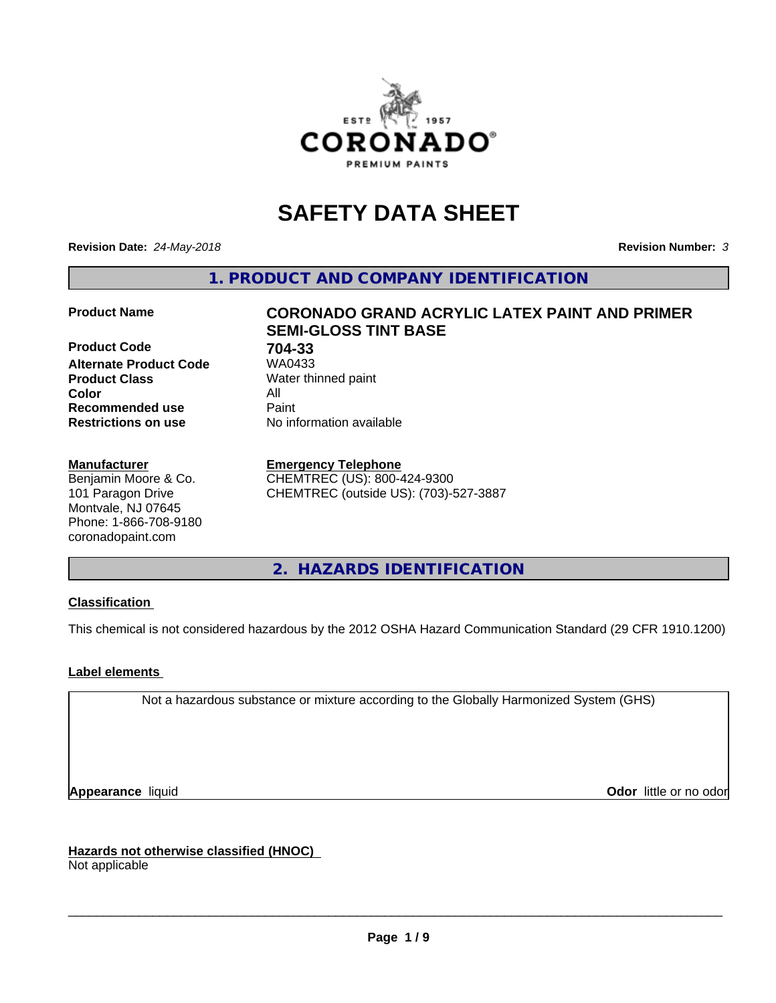

# **SAFETY DATA SHEET**

**Revision Date:** *24-May-2018* **Revision Number:** *3*

**1. PRODUCT AND COMPANY IDENTIFICATION**

**Product Code 704-33 Alternate Product Code Product Class** Water thinned paint<br> **Color** All **Color** All **Recommended use Caint Restrictions on use** No information available

#### **Manufacturer**

Benjamin Moore & Co. 101 Paragon Drive Montvale, NJ 07645 Phone: 1-866-708-9180 coronadopaint.com

# **Product Name CORONADO GRAND ACRYLIC LATEX PAINT AND PRIMER SEMI-GLOSS TINT BASE**

#### **Emergency Telephone**

CHEMTREC (US): 800-424-9300 CHEMTREC (outside US): (703)-527-3887

**2. HAZARDS IDENTIFICATION**

### **Classification**

This chemical is not considered hazardous by the 2012 OSHA Hazard Communication Standard (29 CFR 1910.1200)

### **Label elements**

Not a hazardous substance or mixture according to the Globally Harmonized System (GHS)

**Appearance** liquid **Contract Contract Contract Contract Contract Contract Contract Contract Contract Contract Contract Contract Contract Contract Contract Contract Contract Contract Contract Contract Contract Contract Con** 

**Hazards not otherwise classified (HNOC)**

Not applicable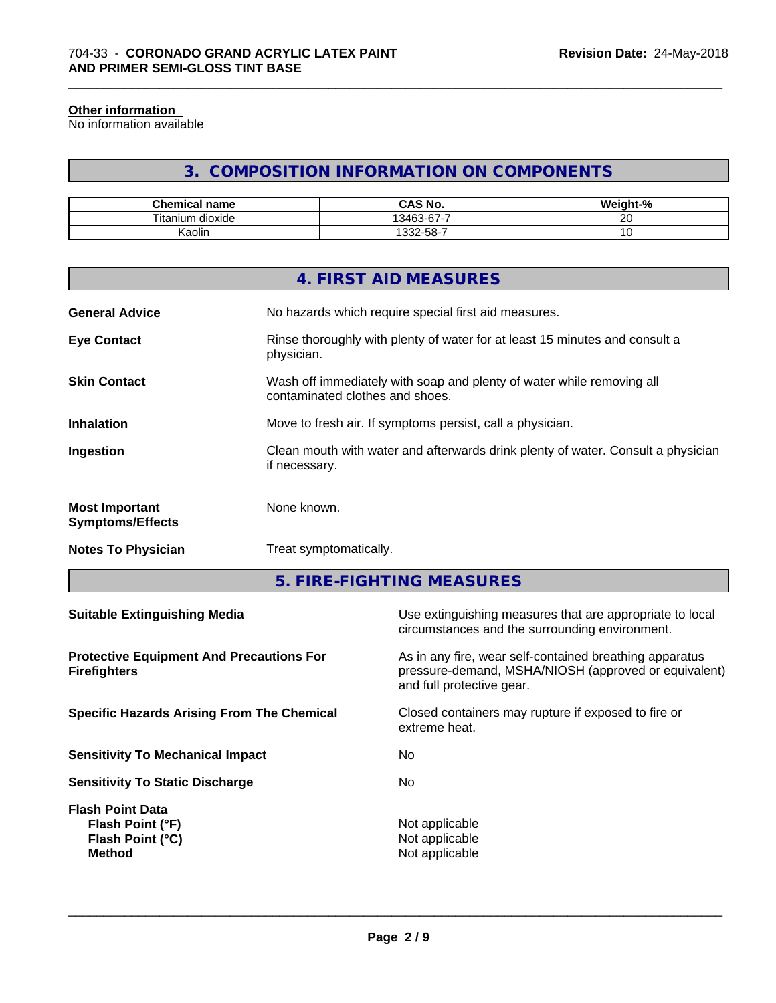#### **Other information**

No information available

# **3. COMPOSITION INFORMATION ON COMPONENTS**

\_\_\_\_\_\_\_\_\_\_\_\_\_\_\_\_\_\_\_\_\_\_\_\_\_\_\_\_\_\_\_\_\_\_\_\_\_\_\_\_\_\_\_\_\_\_\_\_\_\_\_\_\_\_\_\_\_\_\_\_\_\_\_\_\_\_\_\_\_\_\_\_\_\_\_\_\_\_\_\_\_\_\_\_\_\_\_\_\_\_\_\_\_

| Chemical<br>⊟name            | CAS No.<br>r۸        | <br>$\sim$<br>- 70 |
|------------------------------|----------------------|--------------------|
| Titanı<br><br>dioxide<br>um. | $\sim$<br>-<br>13463 | $\sim$ $\sim$<br>∼ |
| <br>Kaolin                   | $32 - 58 - 7$        | ~                  |

|                                                  | 4. FIRST AID MEASURES                                                                                    |
|--------------------------------------------------|----------------------------------------------------------------------------------------------------------|
| <b>General Advice</b>                            | No hazards which require special first aid measures.                                                     |
| <b>Eye Contact</b>                               | Rinse thoroughly with plenty of water for at least 15 minutes and consult a<br>physician.                |
| <b>Skin Contact</b>                              | Wash off immediately with soap and plenty of water while removing all<br>contaminated clothes and shoes. |
| <b>Inhalation</b>                                | Move to fresh air. If symptoms persist, call a physician.                                                |
| Ingestion                                        | Clean mouth with water and afterwards drink plenty of water. Consult a physician<br>if necessary.        |
| <b>Most Important</b><br><b>Symptoms/Effects</b> | None known.                                                                                              |
| <b>Notes To Physician</b>                        | Treat symptomatically.                                                                                   |
|                                                  |                                                                                                          |

**5. FIRE-FIGHTING MEASURES**

| As in any fire, wear self-contained breathing apparatus<br>pressure-demand, MSHA/NIOSH (approved or equivalent)<br>and full protective gear.<br>Closed containers may rupture if exposed to fire or<br>extreme heat.<br>No<br>No.<br>Not applicable<br>Flash Point (°F)<br>Not applicable<br>Flash Point (°C)<br>Not applicable<br><b>Method</b> | <b>Suitable Extinguishing Media</b>                                    | Use extinguishing measures that are appropriate to local<br>circumstances and the surrounding environment. |
|--------------------------------------------------------------------------------------------------------------------------------------------------------------------------------------------------------------------------------------------------------------------------------------------------------------------------------------------------|------------------------------------------------------------------------|------------------------------------------------------------------------------------------------------------|
|                                                                                                                                                                                                                                                                                                                                                  | <b>Protective Equipment And Precautions For</b><br><b>Firefighters</b> |                                                                                                            |
|                                                                                                                                                                                                                                                                                                                                                  | <b>Specific Hazards Arising From The Chemical</b>                      |                                                                                                            |
|                                                                                                                                                                                                                                                                                                                                                  | <b>Sensitivity To Mechanical Impact</b>                                |                                                                                                            |
|                                                                                                                                                                                                                                                                                                                                                  | <b>Sensitivity To Static Discharge</b>                                 |                                                                                                            |
|                                                                                                                                                                                                                                                                                                                                                  | <b>Flash Point Data</b>                                                |                                                                                                            |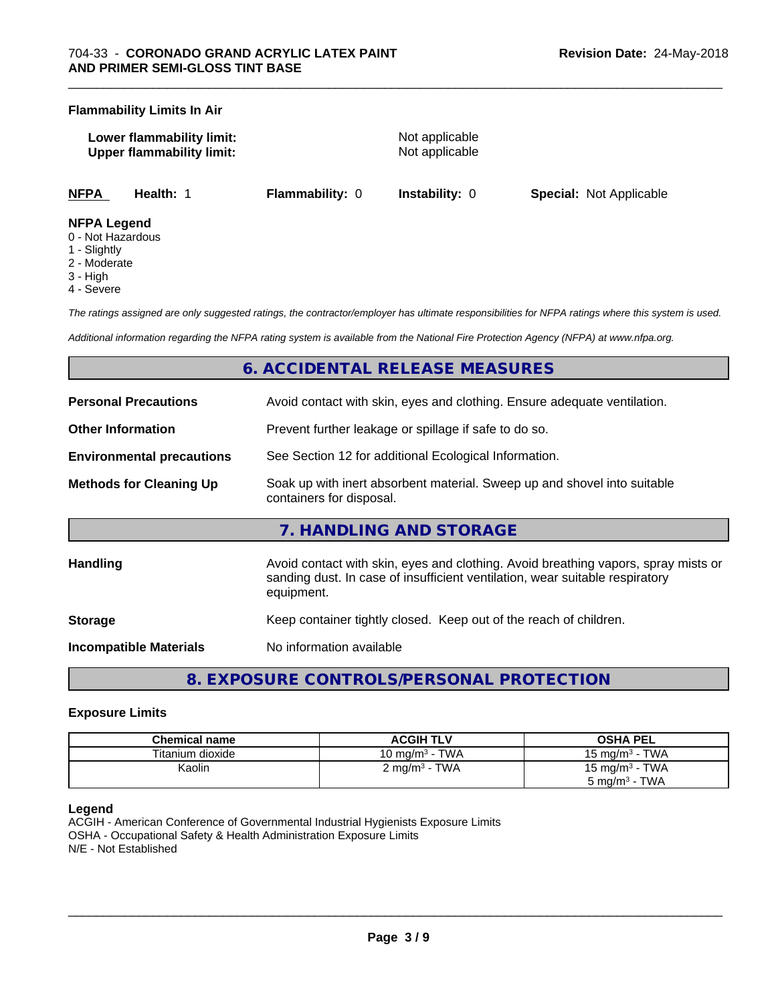#### **Flammability Limits In Air**

| Lower flammability limit:        |  |
|----------------------------------|--|
| <b>Upper flammability limit:</b> |  |

**Not applicable Not applicable** 

\_\_\_\_\_\_\_\_\_\_\_\_\_\_\_\_\_\_\_\_\_\_\_\_\_\_\_\_\_\_\_\_\_\_\_\_\_\_\_\_\_\_\_\_\_\_\_\_\_\_\_\_\_\_\_\_\_\_\_\_\_\_\_\_\_\_\_\_\_\_\_\_\_\_\_\_\_\_\_\_\_\_\_\_\_\_\_\_\_\_\_\_\_

**NFPA Health:** 1 **Flammability:** 0 **Instability:** 0 **Special:** Not Applicable

#### **NFPA Legend**

- 0 Not Hazardous
- 1 Slightly
- 2 Moderate
- 3 High
- 4 Severe

*The ratings assigned are only suggested ratings, the contractor/employer has ultimate responsibilities for NFPA ratings where this system is used.*

*Additional information regarding the NFPA rating system is available from the National Fire Protection Agency (NFPA) at www.nfpa.org.*

# **6. ACCIDENTAL RELEASE MEASURES**

| <b>Personal Precautions</b>      | Avoid contact with skin, eyes and clothing. Ensure adequate ventilation.                                                                                                         |  |
|----------------------------------|----------------------------------------------------------------------------------------------------------------------------------------------------------------------------------|--|
| <b>Other Information</b>         | Prevent further leakage or spillage if safe to do so.                                                                                                                            |  |
| <b>Environmental precautions</b> | See Section 12 for additional Ecological Information.                                                                                                                            |  |
| <b>Methods for Cleaning Up</b>   | Soak up with inert absorbent material. Sweep up and shovel into suitable<br>containers for disposal.                                                                             |  |
|                                  | 7. HANDLING AND STORAGE                                                                                                                                                          |  |
| <b>Handling</b>                  | Avoid contact with skin, eyes and clothing. Avoid breathing vapors, spray mists or<br>sanding dust. In case of insufficient ventilation, wear suitable respiratory<br>equipment. |  |
| <b>Storage</b>                   | Keep container tightly closed. Keep out of the reach of children.                                                                                                                |  |
| <b>Incompatible Materials</b>    | No information available                                                                                                                                                         |  |

**8. EXPOSURE CONTROLS/PERSONAL PROTECTION**

#### **Exposure Limits**

| Chemical name    | <b>ACGIH TLV</b>                | <b>OSHA PEL</b>                 |
|------------------|---------------------------------|---------------------------------|
| Titanium dioxide | · TWA<br>10 mg/m <sup>3</sup> - | <b>TWA</b><br>15 mg/m $3 \cdot$ |
| Kaolin           | $2 \text{ mg/m}^3$ - TWA        | 15 mg/m $3$ - TWA               |
|                  |                                 | TWA<br>5 mg/m <sup>3</sup> -    |

#### **Legend**

ACGIH - American Conference of Governmental Industrial Hygienists Exposure Limits OSHA - Occupational Safety & Health Administration Exposure Limits N/E - Not Established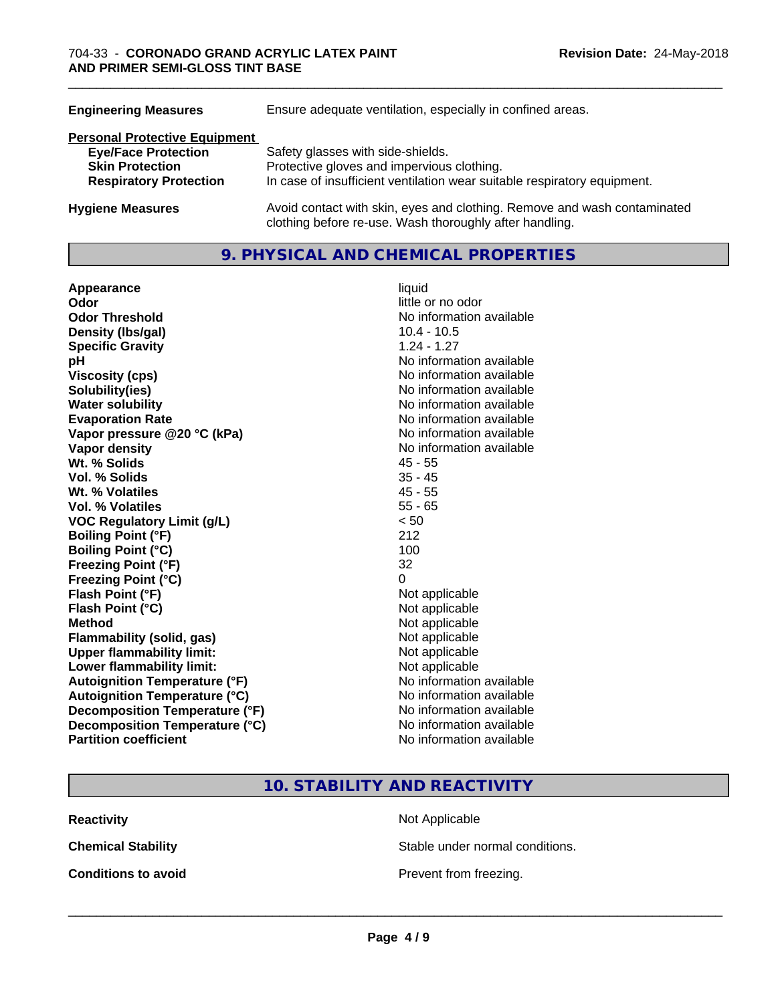| <b>Engineering Measures</b>          | Ensure adequate ventilation, especially in confined areas.                                                                          |  |  |
|--------------------------------------|-------------------------------------------------------------------------------------------------------------------------------------|--|--|
| <b>Personal Protective Equipment</b> |                                                                                                                                     |  |  |
| <b>Eye/Face Protection</b>           | Safety glasses with side-shields.                                                                                                   |  |  |
| <b>Skin Protection</b>               | Protective gloves and impervious clothing.                                                                                          |  |  |
| <b>Respiratory Protection</b>        | In case of insufficient ventilation wear suitable respiratory equipment.                                                            |  |  |
| <b>Hygiene Measures</b>              | Avoid contact with skin, eyes and clothing. Remove and wash contaminated<br>clothing before re-use. Wash thoroughly after handling. |  |  |

# **9. PHYSICAL AND CHEMICAL PROPERTIES**

| Appearance                           | liquid                   |
|--------------------------------------|--------------------------|
| Odor                                 | little or no odor        |
| <b>Odor Threshold</b>                | No information available |
| Density (Ibs/gal)                    | $10.4 - 10.5$            |
| <b>Specific Gravity</b>              | $1.24 - 1.27$            |
| pH                                   | No information available |
| <b>Viscosity (cps)</b>               | No information available |
| Solubility(ies)                      | No information available |
| <b>Water solubility</b>              | No information available |
| <b>Evaporation Rate</b>              | No information available |
| Vapor pressure @20 °C (kPa)          | No information available |
| Vapor density                        | No information available |
| Wt. % Solids                         | $45 - 55$                |
| <b>Vol. % Solids</b>                 | $35 - 45$                |
| Wt. % Volatiles                      | $45 - 55$                |
| <b>Vol. % Volatiles</b>              | $55 - 65$                |
| <b>VOC Regulatory Limit (g/L)</b>    | < 50                     |
| <b>Boiling Point (°F)</b>            | 212                      |
| <b>Boiling Point (°C)</b>            | 100                      |
| <b>Freezing Point (°F)</b>           | 32                       |
| <b>Freezing Point (°C)</b>           | 0                        |
| Flash Point (°F)                     | Not applicable           |
| Flash Point (°C)                     | Not applicable           |
| <b>Method</b>                        | Not applicable           |
| <b>Flammability (solid, gas)</b>     | Not applicable           |
| <b>Upper flammability limit:</b>     | Not applicable           |
| Lower flammability limit:            | Not applicable           |
| <b>Autoignition Temperature (°F)</b> | No information available |
| <b>Autoignition Temperature (°C)</b> | No information available |
| Decomposition Temperature (°F)       | No information available |
| Decomposition Temperature (°C)       | No information available |
| <b>Partition coefficient</b>         | No information available |

\_\_\_\_\_\_\_\_\_\_\_\_\_\_\_\_\_\_\_\_\_\_\_\_\_\_\_\_\_\_\_\_\_\_\_\_\_\_\_\_\_\_\_\_\_\_\_\_\_\_\_\_\_\_\_\_\_\_\_\_\_\_\_\_\_\_\_\_\_\_\_\_\_\_\_\_\_\_\_\_\_\_\_\_\_\_\_\_\_\_\_\_\_

# **10. STABILITY AND REACTIVITY**

**Reactivity** Not Applicable

**Chemical Stability Stable under normal conditions.** 

**Conditions to avoid Conditions to avoid Prevent from freezing.**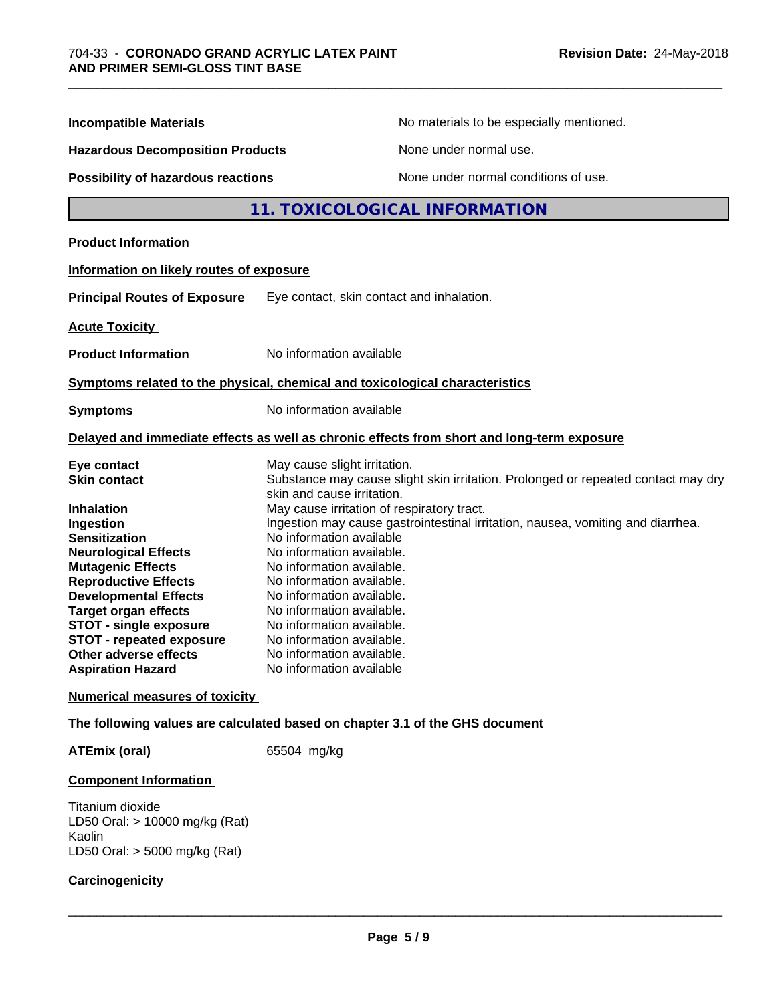| <b>Incompatible Materials</b>                                                                | No materials to be especially mentioned.                                                                                                                  |  |  |
|----------------------------------------------------------------------------------------------|-----------------------------------------------------------------------------------------------------------------------------------------------------------|--|--|
| <b>Hazardous Decomposition Products</b>                                                      | None under normal use.                                                                                                                                    |  |  |
| <b>Possibility of hazardous reactions</b>                                                    | None under normal conditions of use.                                                                                                                      |  |  |
|                                                                                              | 11. TOXICOLOGICAL INFORMATION                                                                                                                             |  |  |
| <b>Product Information</b>                                                                   |                                                                                                                                                           |  |  |
| Information on likely routes of exposure                                                     |                                                                                                                                                           |  |  |
| <b>Principal Routes of Exposure</b>                                                          | Eye contact, skin contact and inhalation.                                                                                                                 |  |  |
| <b>Acute Toxicity</b>                                                                        |                                                                                                                                                           |  |  |
| <b>Product Information</b>                                                                   | No information available                                                                                                                                  |  |  |
|                                                                                              | Symptoms related to the physical, chemical and toxicological characteristics                                                                              |  |  |
| <b>Symptoms</b>                                                                              | No information available                                                                                                                                  |  |  |
|                                                                                              | Delayed and immediate effects as well as chronic effects from short and long-term exposure                                                                |  |  |
| Eye contact<br><b>Skin contact</b>                                                           | May cause slight irritation.<br>Substance may cause slight skin irritation. Prolonged or repeated contact may dry<br>skin and cause irritation.           |  |  |
| Inhalation<br>Ingestion<br><b>Sensitization</b>                                              | May cause irritation of respiratory tract.<br>Ingestion may cause gastrointestinal irritation, nausea, vomiting and diarrhea.<br>No information available |  |  |
| <b>Neurological Effects</b><br><b>Mutagenic Effects</b><br><b>Reproductive Effects</b>       | No information available.<br>No information available.<br>No information available.                                                                       |  |  |
| <b>Developmental Effects</b><br><b>Target organ effects</b><br><b>STOT - single exposure</b> | No information available.<br>No information available.<br>No information available.                                                                       |  |  |
| <b>STOT - repeated exposure</b><br>Other adverse effects<br><b>Aspiration Hazard</b>         | No information available.<br>No information available.<br>No information available                                                                        |  |  |
| <b>Numerical measures of toxicity</b>                                                        |                                                                                                                                                           |  |  |
|                                                                                              |                                                                                                                                                           |  |  |
|                                                                                              | The following values are calculated based on chapter 3.1 of the GHS document                                                                              |  |  |

**ATEmix (oral)** 65504 mg/kg

# **Component Information**

Titanium dioxide LD50 Oral: > 10000 mg/kg (Rat) **Kaolin** LD50 Oral: > 5000 mg/kg (Rat)

# **Carcinogenicity**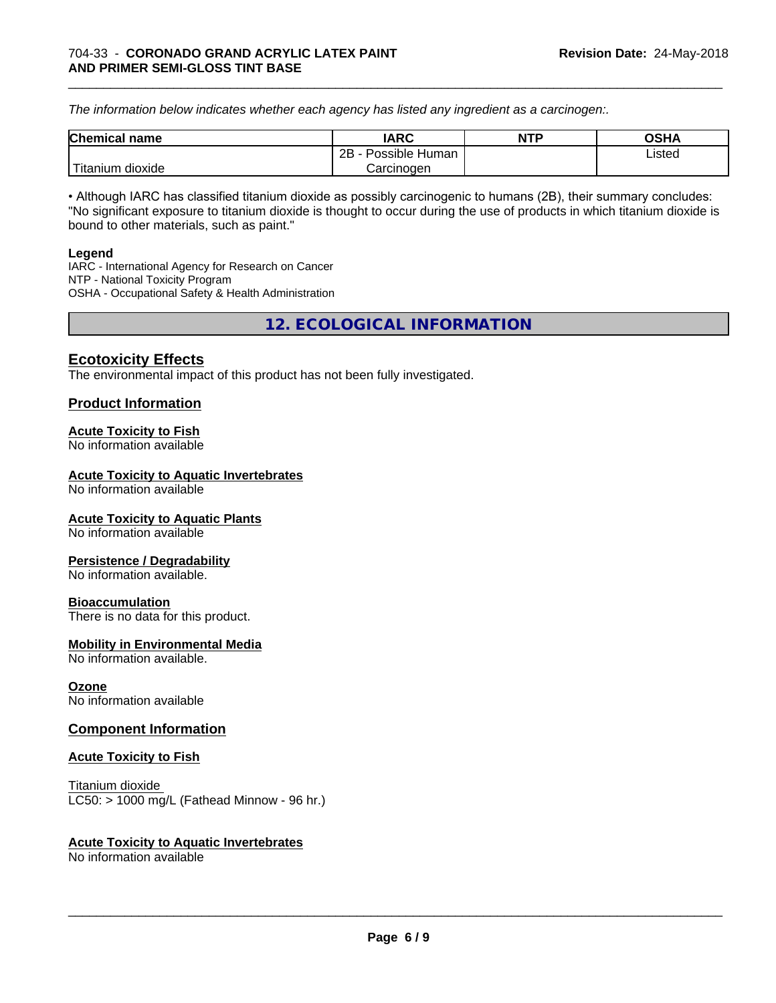*The information below indicateswhether each agency has listed any ingredient as a carcinogen:.*

| <b>Chemical</b><br>name          | <b>IARC</b>             | NTP | OSHA   |
|----------------------------------|-------------------------|-----|--------|
|                                  | Possible<br>2B<br>Human |     | Listed |
| .<br>. dioxide<br><b>itanium</b> | Carcinoɑen              |     |        |

\_\_\_\_\_\_\_\_\_\_\_\_\_\_\_\_\_\_\_\_\_\_\_\_\_\_\_\_\_\_\_\_\_\_\_\_\_\_\_\_\_\_\_\_\_\_\_\_\_\_\_\_\_\_\_\_\_\_\_\_\_\_\_\_\_\_\_\_\_\_\_\_\_\_\_\_\_\_\_\_\_\_\_\_\_\_\_\_\_\_\_\_\_

• Although IARC has classified titanium dioxide as possibly carcinogenic to humans (2B), their summary concludes: "No significant exposure to titanium dioxide is thought to occur during the use of products in which titanium dioxide is bound to other materials, such as paint."

#### **Legend**

IARC - International Agency for Research on Cancer NTP - National Toxicity Program OSHA - Occupational Safety & Health Administration

**12. ECOLOGICAL INFORMATION**

# **Ecotoxicity Effects**

The environmental impact of this product has not been fully investigated.

# **Product Information**

#### **Acute Toxicity to Fish**

No information available

#### **Acute Toxicity to Aquatic Invertebrates**

No information available

#### **Acute Toxicity to Aquatic Plants**

No information available

#### **Persistence / Degradability**

No information available.

#### **Bioaccumulation**

There is no data for this product.

#### **Mobility in Environmental Media**

No information available.

#### **Ozone**

No information available

### **Component Information**

#### **Acute Toxicity to Fish**

Titanium dioxide  $LC50:$  > 1000 mg/L (Fathead Minnow - 96 hr.)

#### **Acute Toxicity to Aquatic Invertebrates**

No information available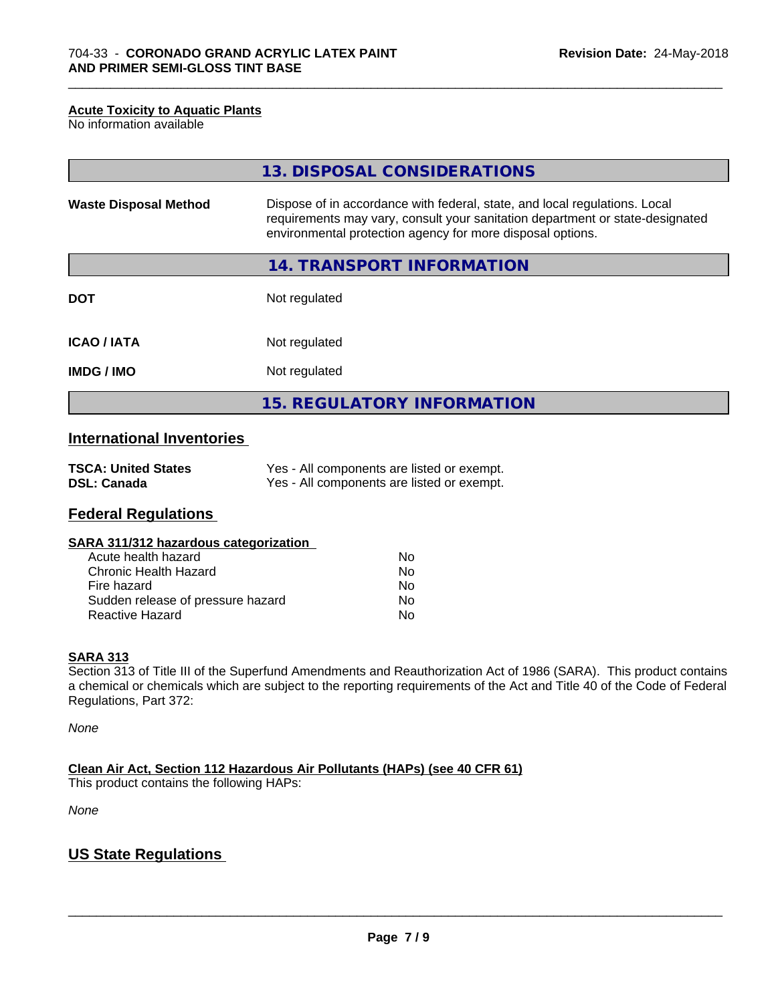#### **Acute Toxicity to Aquatic Plants**

No information available

|                              | 13. DISPOSAL CONSIDERATIONS                                                                                                                                                                                               |
|------------------------------|---------------------------------------------------------------------------------------------------------------------------------------------------------------------------------------------------------------------------|
| <b>Waste Disposal Method</b> | Dispose of in accordance with federal, state, and local regulations. Local<br>requirements may vary, consult your sanitation department or state-designated<br>environmental protection agency for more disposal options. |
|                              | 14. TRANSPORT INFORMATION                                                                                                                                                                                                 |
| <b>DOT</b>                   | Not regulated                                                                                                                                                                                                             |
| <b>ICAO/IATA</b>             | Not regulated                                                                                                                                                                                                             |
| <b>IMDG/IMO</b>              | Not regulated                                                                                                                                                                                                             |
|                              | 15. REGULATORY INFORMATION                                                                                                                                                                                                |

\_\_\_\_\_\_\_\_\_\_\_\_\_\_\_\_\_\_\_\_\_\_\_\_\_\_\_\_\_\_\_\_\_\_\_\_\_\_\_\_\_\_\_\_\_\_\_\_\_\_\_\_\_\_\_\_\_\_\_\_\_\_\_\_\_\_\_\_\_\_\_\_\_\_\_\_\_\_\_\_\_\_\_\_\_\_\_\_\_\_\_\_\_

# **International Inventories**

| <b>TSCA: United States</b> | Yes - All components are listed or exempt. |
|----------------------------|--------------------------------------------|
| <b>DSL: Canada</b>         | Yes - All components are listed or exempt. |

# **Federal Regulations**

| SARA 311/312 hazardous categorization |    |  |
|---------------------------------------|----|--|
| Acute health hazard                   | Nο |  |
| Chronic Health Hazard                 | Nο |  |
| Fire hazard                           | Nο |  |
| Sudden release of pressure hazard     | N٥ |  |

Reactive Hazard No. No. 2012 12:30 No. 2012

#### **SARA 313**

Section 313 of Title III of the Superfund Amendments and Reauthorization Act of 1986 (SARA). This product contains a chemical or chemicals which are subject to the reporting requirements of the Act and Title 40 of the Code of Federal Regulations, Part 372:

*None*

**Clean Air Act,Section 112 Hazardous Air Pollutants (HAPs) (see 40 CFR 61)**

This product contains the following HAPs:

*None*

# **US State Regulations**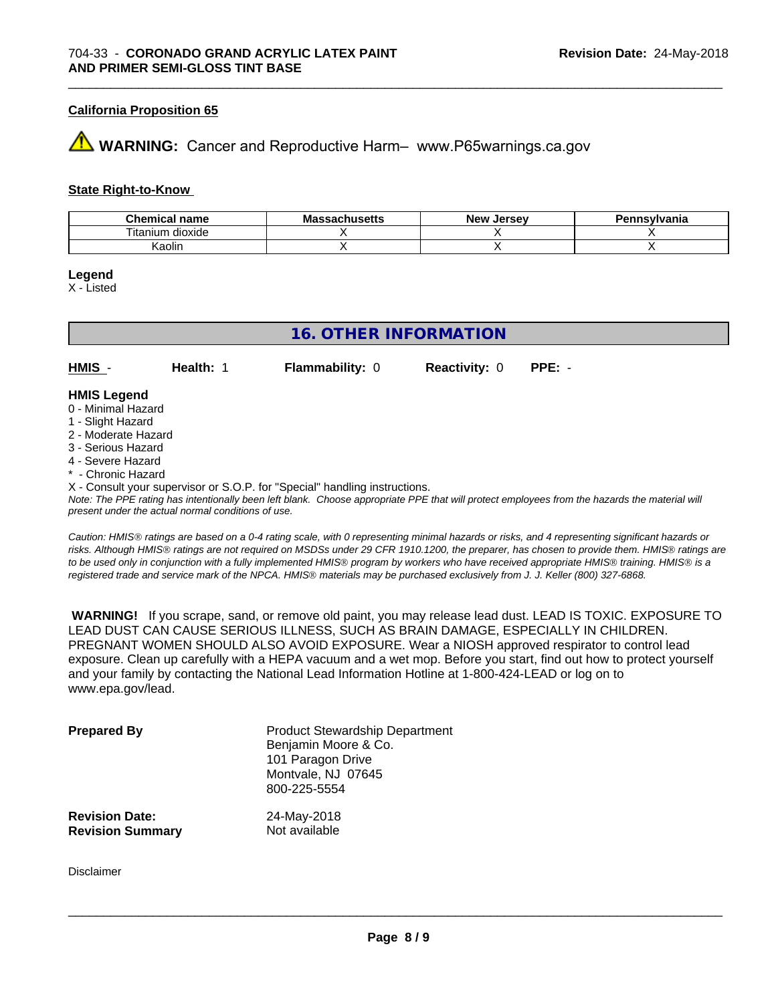#### **California Proposition 65**

# **AVIMARNING:** Cancer and Reproductive Harm– www.P65warnings.ca.gov

#### **State Right-to-Know**

| Chamisay<br>name<br>amrea<br>. | - -<br>.unuscus | Jersev<br>Nev : | <b>\nsvlvania</b> |
|--------------------------------|-----------------|-----------------|-------------------|
| dioxide<br>I itanıum           |                 |                 |                   |
| Kaolin                         |                 |                 |                   |

\_\_\_\_\_\_\_\_\_\_\_\_\_\_\_\_\_\_\_\_\_\_\_\_\_\_\_\_\_\_\_\_\_\_\_\_\_\_\_\_\_\_\_\_\_\_\_\_\_\_\_\_\_\_\_\_\_\_\_\_\_\_\_\_\_\_\_\_\_\_\_\_\_\_\_\_\_\_\_\_\_\_\_\_\_\_\_\_\_\_\_\_\_

#### **Legend**

X - Listed

| <b>16. OTHER INFORMATION</b> |           |                                                                            |                      |          |  |
|------------------------------|-----------|----------------------------------------------------------------------------|----------------------|----------|--|
|                              |           |                                                                            |                      |          |  |
| HMIS -                       | Health: 1 | <b>Flammability: 0</b>                                                     | <b>Reactivity: 0</b> | $PPE: -$ |  |
| <b>HMIS Legend</b>           |           |                                                                            |                      |          |  |
| 0 - Minimal Hazard           |           |                                                                            |                      |          |  |
| 1 - Slight Hazard            |           |                                                                            |                      |          |  |
| 2 - Moderate Hazard          |           |                                                                            |                      |          |  |
| 3 - Serious Hazard           |           |                                                                            |                      |          |  |
| 4 - Severe Hazard            |           |                                                                            |                      |          |  |
| * - Chronic Hazard           |           |                                                                            |                      |          |  |
|                              |           | X - Consult your supervisor or S.O.P. for "Special" handling instructions. |                      |          |  |

*Note: The PPE rating has intentionally been left blank. Choose appropriate PPE that will protect employees from the hazards the material will present under the actual normal conditions of use.*

*Caution: HMISÒ ratings are based on a 0-4 rating scale, with 0 representing minimal hazards or risks, and 4 representing significant hazards or risks. Although HMISÒ ratings are not required on MSDSs under 29 CFR 1910.1200, the preparer, has chosen to provide them. HMISÒ ratings are to be used only in conjunction with a fully implemented HMISÒ program by workers who have received appropriate HMISÒ training. HMISÒ is a registered trade and service mark of the NPCA. HMISÒ materials may be purchased exclusively from J. J. Keller (800) 327-6868.*

 **WARNING!** If you scrape, sand, or remove old paint, you may release lead dust. LEAD IS TOXIC. EXPOSURE TO LEAD DUST CAN CAUSE SERIOUS ILLNESS, SUCH AS BRAIN DAMAGE, ESPECIALLY IN CHILDREN. PREGNANT WOMEN SHOULD ALSO AVOID EXPOSURE.Wear a NIOSH approved respirator to control lead exposure. Clean up carefully with a HEPA vacuum and a wet mop. Before you start, find out how to protect yourself and your family by contacting the National Lead Information Hotline at 1-800-424-LEAD or log on to www.epa.gov/lead.

| <b>Prepared By</b>      | <b>Product Stewardship Department</b><br>Benjamin Moore & Co.<br>101 Paragon Drive<br>Montvale, NJ 07645<br>800-225-5554 |
|-------------------------|--------------------------------------------------------------------------------------------------------------------------|
| <b>Revision Date:</b>   | 24-May-2018                                                                                                              |
| <b>Revision Summary</b> | Not available                                                                                                            |

Disclaimer